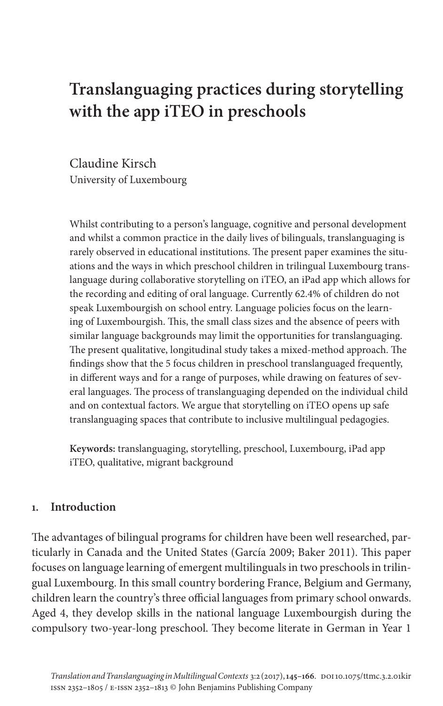# **Translanguaging practices during storytelling with the app iTEO in preschools**

Claudine Kirsch University of Luxembourg

Whilst contributing to a person's language, cognitive and personal development and whilst a common practice in the daily lives of bilinguals, translanguaging is rarely observed in educational institutions. The present paper examines the situations and the ways in which preschool children in trilingual Luxembourg translanguage during collaborative storytelling on iTEO, an iPad app which allows for the recording and editing of oral language. Currently 62.4% of children do not speak Luxembourgish on school entry. Language policies focus on the learning of Luxembourgish. This, the small class sizes and the absence of peers with similar language backgrounds may limit the opportunities for translanguaging. The present qualitative, longitudinal study takes a mixed-method approach. The findings show that the 5 focus children in preschool translanguaged frequently, in different ways and for a range of purposes, while drawing on features of several languages. The process of translanguaging depended on the individual child and on contextual factors. We argue that storytelling on iTEO opens up safe translanguaging spaces that contribute to inclusive multilingual pedagogies.

**Keywords:** translanguaging, storytelling, preschool, Luxembourg, iPad app iTEO, qualitative, migrant background

# **1. Introduction**

The advantages of bilingual programs for children have been well researched, particularly in Canada and the United States (García 2009; Baker 2011). This paper focuses on language learning of emergent multilinguals in two preschools in trilingual Luxembourg. In this small country bordering France, Belgium and Germany, children learn the country's three official languages from primary school onwards. Aged 4, they develop skills in the national language Luxembourgish during the compulsory two-year-long preschool. They become literate in German in Year 1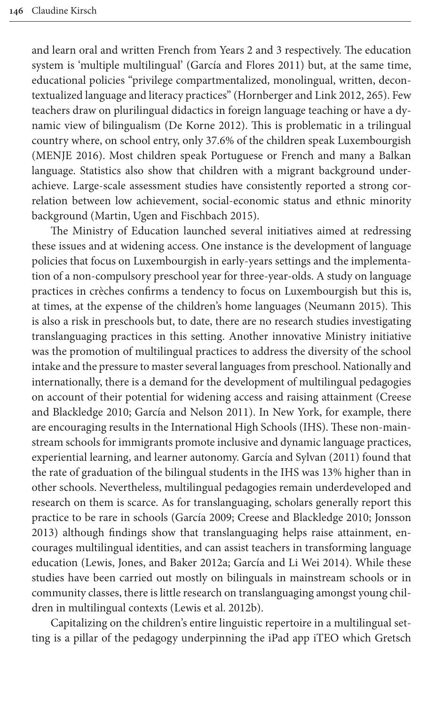and learn oral and written French fr[om Years 2 and 3 respective](#page-19-0)ly. The education system is 'multiple multilingual' (García and Flores 2011) but, at the same time, educational policies "[privilege compar](#page-18-0)tmentalized, monolingual, written, decontextualized language and literacy practices" (Hornberger and Link 2012, 265). Few [teachers](#page-20-0) draw on plurilingual didactics in foreign language teaching or have a dynamic view of bilingualism (De Korne 2012). This is problematic in a trilingual country where, on school entry, only 37.6% of the children speak Luxembourgish (MENJE 2016). Most children speak Portuguese or French and many a Balkan langua[ge. Statistics also show that child](#page-20-1)ren with a migrant background underachieve. Large-scale assessment studies have consistently reported a strong correlation between low achievement, social-economic status and ethnic minority background (Martin, Ugen and Fischbach 2015).

The Ministry of Education launched several initiatives aimed at redressing these issues and at widening access. One instance is the development of language policies that focus on Luxembourgish in early-years [settings and the](#page-20-2) implementation of a non-compulsory preschool year for three-year-olds. A study on language practices in crèches confirms a tendency to focus on Luxembourgish but this is, at times, at the expense of the children's home languages (Neumann 2015). This is also a risk in preschools but, to date, there are no research studies investigating translanguaging practices in this setting. Another innovative Ministry initiative was the promotion of multilingual practices to address the diversit[y of the](#page-18-1) school [intake and the](#page-18-1) [pressure to master several](#page-19-1) languages from preschool. Nationally and internationally, there is a demand for the development of multilingual pedagogies on account of their potential for widening access and raising attainment (Creese and Blackledge 2010; García and Nel[son 2011\). In New York, f](#page-19-2)or example, there are encouraging results in the International High Schools (IHS). These non-mainstream schools for immigrants promote inclusive and dynamic language practices, experiential learning, and learner autonomy. García and Sylvan (2011) found that the rate of graduation o[f the bilingua](#page-18-2)[l students in the IHS was 13%](#page-18-1) [higher t](#page-19-3)han in other schools. Nevertheless, multilingual pedagogies remain underdeveloped and research on them is scarce. As for translanguaging, scholars generally report this prac[tice to be rare in schools \(Garc](#page-20-3)í[a 2009; Creese and Black](#page-19-4)ledge 2010; Jonsson 2013) although findings show that translanguaging helps raise attainment, encourages multilingual identities, and can assist teachers in transforming language education (Lewis, Jone[s, and Baker 2012a](#page-20-4); García and Li Wei 2014). While these studies have been carried out mostly on bilinguals in mainstream schools or in community classes, there is little research on translanguaging amongst young children in multilingual contexts (Lewis et al. 2012b).

Capitalizing on the children's entire linguistic repertoire in a multilingual setting is a pillar of the pedagogy underpinning the iPad app iTEO which Gretsch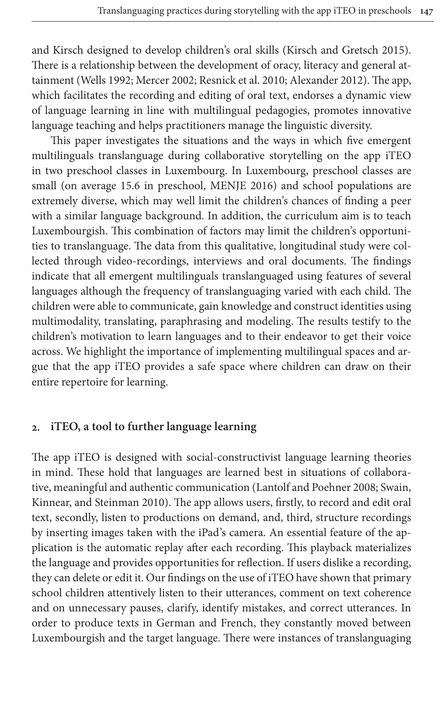an[d Kirsch des](#page-21-0)[igned to deve](#page-20-5)[lop children's oral](#page-20-6) [skills \(Kirsch an](#page-17-0)d Gretsch 2015). There is a relationship between the development of oracy, literacy and general attainment (Wells 1992; Mercer 2002; Resnick et al. 2010; Alexander 2012). The app, which facilitates the recording and editing of oral text, endorses a dynamic view of language learning in line with multilingual pedagogies, promotes innovative language teaching and helps practitioners manage the linguistic diversity.

This paper investigates th[e situations an](#page-20-0)d the ways in which five emergent multilinguals translanguage during collaborative storytelling on the app iTEO in two preschool classes in Luxembourg. In Luxembourg, preschool classes are small (on average 15.6 in preschool, MENJE 2016) and school populations are extremely diverse, which may well limit the children's chances of finding a peer with a similar language background. In addition, the curriculum aim is to teach Luxembourgish. This combination of factors may limit the children's opportunities to translanguage. The data from this qualitative, longitudinal study were collected through video-recordings, interviews and oral documents. The findings indicate that all emergent multilinguals translanguaged using features of several languages although the frequency of translanguaging varied with each child. The children were able to communicate, gain knowledge and construct identities using multimodality, translating, paraphrasing and modeling. The results testify to the children's motivation to learn languages and to their endeavor to get their voice across. We highlight the importance of implementing multilingual spaces and argue that the app iTEO provides a safe space where children can draw on their entire repertoire for learning.

## **2. iTEO, a tool to further language learning**

[The app iTEO is desi](#page-20-7)gned with social-c[onstructivist language lear](#page-19-6)[ning th](#page-20-7)eories in mind. These hold that languages are learned best in situations of collaborative, meaningful and authentic communication (Lantolf and Poehner 2008; Swain, Kinnear, and Steinman 2010). The app allows users, firstly, to record and edit oral text, secondly, listen to productions on demand, and, third, structure recordings by inserting images taken with the iPad's camera. An essential feature of the application is the automatic replay after each recording. This playback materializes the language and provides opportunities for reflection. If users dislike a recording, they can delete or edit it. Our findings on the use of iTEO have shown that primary school children attentively listen to their utterances, comment on text coherence and on unnecessary pauses, clarify, identify mistakes, and correct utterances. In order to produce texts in German and French, they constantly moved between Luxembourgish and the target language. There were instances of translanguaging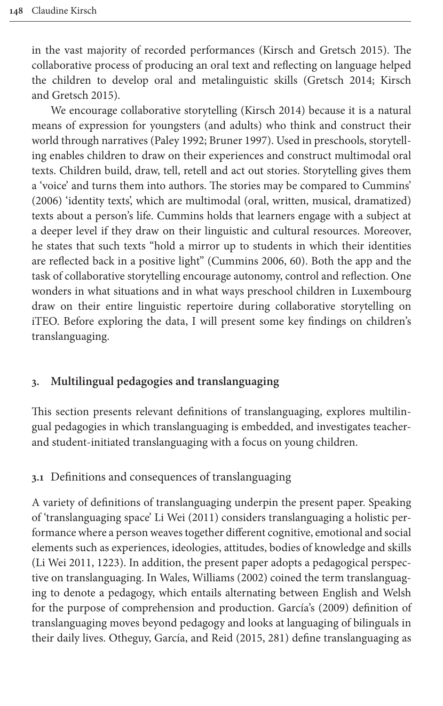[in the vast](#page-19-5) majority of recorded performances (Ki[rsch and Gret](#page-19-7)s[ch 2015](#page-19-5)). The collaborative process of producing an [oral text and](#page-19-8) reflecting on language helped the children to develop oral and metalinguistic skills (Gretsch 2014; Kirsch and Gretsch 2015).

We encourage [collaborativ](#page-20-8)[e storytelling](#page-18-3) (Kirsch 2014) because it is a natural means of expression for youngsters (and adults) who think and construct their world through narratives (Paley 1992; Bruner 1997). Used in pre[schools, sto](#page-18-4)rytelling enables children to draw on their experiences and construct multimodal oral texts. Children build, draw, tell, retell and act out stories. Storytelling gives them a 'voice' and turns them into authors. The stories may be compared to Cummins' (2006) 'identity texts', which are multimodal (oral, written, musical, dramatized) texts about a person's life. Cum[mins holds that](#page-18-4) learners engage with a subject at a deeper level if they draw on their linguistic and cultural resources. Moreover, he states that such texts "hold a mirror up to students in which their identities are reflected back in a positive light" (Cummins 2006, 60). Both the app and the task of collaborative storytelling encourage autonomy, control and reflection. One wonders in what situations and in what ways preschool children in Luxembourg draw on their entire linguistic repertoire during collaborative storytelling on iTEO. Before exploring the data, I will present some key findings on children's translanguaging.

## **3. Multilingual pedagogies and translanguaging**

This section presents relevant definitions of translanguaging, explores multilingual pedagogies in which translanguaging is embedded, and investigates teacherand student-initiated translanguaging with a focus on young children.

#### **3.1** Definitions an[d consequenc](#page-20-9)es of translanguaging

A variety of definitions of translanguaging underpin the present paper. Speaking [of 'tran](#page-20-9)slanguaging space' Li Wei (2011) considers translanguaging a holistic performance where a person w[eaves together diff](#page-21-1)erent cognitive, emotional and social elements such as experiences, ideologies, attitudes, bodies of knowledge and skills (Li Wei 2011, 1223). In addition, the present [paper adopts a p](#page-18-2)edagogical perspective on translanguaging. In Wales, Williams (2002) coined the term translanguaging to denote a pedagogy, which ent[ails al](#page-20-10)ternating between English and Welsh for the purpose of comprehension and production. García's (2009) definition of translanguaging moves beyond pedagogy and looks at languaging of bilinguals in their daily lives. Otheguy, García, and Reid (2015, 281) define translanguaging as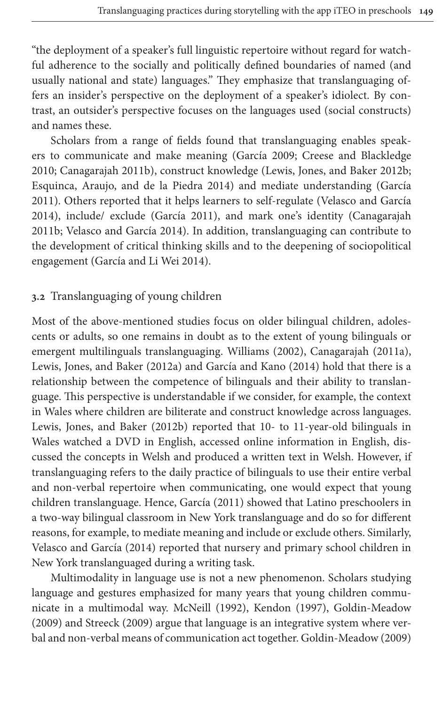"the deployment of a speaker's full linguistic repertoire without regard for watchful adherence to the socially and politically defined boundaries of named (and usually national and state) languages." They emphasize that translanguaging offers an insider's perspective on the deployment of a speaker's idiolect. By contrast, an outsider's perspective focus[es on the lan](#page-18-2)g[uages used \(social const](#page-18-1)ructs) [and names these.](#page-18-5)

[Scholars from a range of fields](#page-18-6) found [that translanguaging e](#page-20-4)[nables](#page-18-7) speakers to communicate and make meaning (García 20[09; Creese and Blac](#page-21-2)kledge 2010; Canagarajah [2011b\), const](#page-18-7)ruct knowledge (Lewis, Jone[s, and Baker 2](#page-18-5)012b; [Esquinca, Araujo, and de](#page-21-2) la Piedra 2014) and mediate understanding (García 2011). Others reported that it helps learners to self-regulate (Velasco and García 2014), [include/ exclude \(Garc](#page-19-4)ía 2011), and mark one's identity (Canagarajah 2011b; Velasco and García 2014). In addition, translanguaging can contribute to the development of critical thinking skills and to the deepening of sociopolitical engagement (García and Li Wei 2014).

## **3.2** Translanguaging of young children

[Most of the above-mentio](#page-20-3)ned [studies focus on older](#page-19-9) [bilingual children,](#page-18-8) adolescents or adults, so one remains in doubt as to the extent of young bilinguals or emergent multilinguals translanguaging. Williams (2002), Canagarajah (2011a), Lewis, Jones, and Baker (2012a) and García and Kano (2014) hold that there is a [relationship between the c](#page-20-4)ompetence of bilinguals and their ability to translanguage. This perspective is understandable if we consider, for example, the context in Wales where children are biliterate and construct knowledge across languages. Lewis, Jones, and Baker (2012b) reported that 10- to 11-year-old bilinguals in Wales watched a DVD in English, accessed online information in English, discussed the concepts in [Welsh and prod](#page-18-7)uced a written text in Welsh. However, if translanguaging refers to the daily practice of bilinguals to use their entire verbal and non-verbal repertoire when communicating, one would expect that young [children translangua](#page-21-2)ge. Hence, García (2011) showed that Latino preschoolers in a two-way bilingual classroom in New York translanguage and do so for different reasons, for example, to mediate meaning and include or exclude others. Similarly, Velasco and García (2014) reported that nursery and primary school children in New York translanguag[ed during a writ](#page-20-11)i[ng task.](#page-19-10)

[Multimodality](#page-20-12) in language use is not a new phenom[enon. Scholars stu](#page-19-11)dying language and gestures emphasized for many year[s that young children co](#page-19-11)mmunicate in a multimodal way. McNeill (1992), Kendon (1997), Goldin-Meadow (2009) and Streeck (2009) argue that language is an integrative system where verbal and non-verbal means of communication act together. Goldin-Meadow (2009)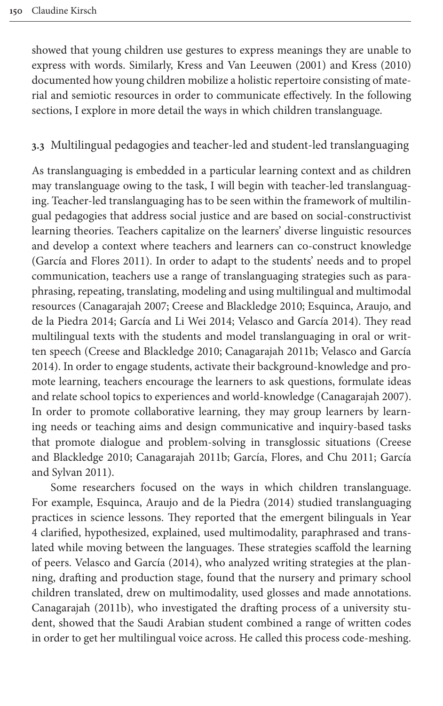showed that young children use gestures to express meanings they are unable to express with words. Similarly, Kress and Van Leeuwen (2001) and Kress (2010) documented how young children mobilize a holistic repertoire consisting of material and semiotic resources in order to communicate effectively. In the following sections, I explore in more detail the ways in which children translanguage.

### **3.3** Multilingual pedagogies and teacher-led and student-led translanguaging

As translanguaging is embedded in a particular learning context and as children may translanguage owing to the task, I will begin with teacher-led translanguaging. Teacher-led translanguaging has to be seen within the framework of multilin[gual pedagogies t](#page-19-1)hat address social justice and are based on social-constructivist learning theories. Teachers capitalize on the learners' diverse linguistic resources and develop a context where teachers and learners can co-construct knowledge (Ga[rcía and Flores 201](#page-18-9)[1\). In order to adapt to the](#page-18-1) s[tudents' needs and to](#page-18-6) propel [communica](#page-18-6)[tion, teachers use a rang](#page-19-4)[e of translanguaging strate](#page-21-2)gies such as paraphrasing, repeating, translating, modeling and using multilingual and multimodal reso[urces \(Canagarajah 2007; Cre](#page-18-1)[ese and Blackledge 2](#page-18-5)[010; Esquinca, Arauj](#page-21-2)o, and de la Piedra 2014; García and Li Wei 2014; Velasco and García 2014). They read multilingual texts with the students and model translanguaging in oral or written speech (Creese and Blackledge 2010; Canagarajah [2011b; Velasco and](#page-18-9) García 2014). In order to engage students, activate their background-knowledge and promote learning, teachers encourage the learners to ask questions, formulate ideas and relate school topics to experiences and world-knowledge (Cana[garajah](#page-18-1) 2007). [In order to pr](#page-18-1)[omote collaborative](#page-18-5) [learning, they may group lear](#page-19-12)[ners by](#page-19-2) learn[ing needs](#page-19-2) or teaching aims and design communicative and inquiry-based tasks that promote dialogue and problem-solving in transglossic situations (Creese and Bl[ackledge 2010; Canagarajah 2011b; García](#page-18-6), Flores, and Chu 2011; García and Sylvan 2011).

Some researchers focused on the ways in which children translanguage. For example, Esquinca, Araujo and de la Piedra (2014) studied translanguaging pr[actices in science lessons.](#page-21-2) They reported that the emergent bilinguals in Year 4 clarified, hypothesized, explained, used multimodality, paraphrased and translated while moving between the languages. These strategies scaffold the learning [of peers. Velas](#page-18-5)co and García (2014), who analyzed writing strategies at the planning, drafting and production stage, found that the nursery and primary school children translated, drew on multimodality, used glosses and made annotations. Canagarajah (2011b), who investigated the drafting process of a university student, showed that the Saudi Arabian student combined a range of written codes in order to get her multilingual voice across. He called this process code-meshing.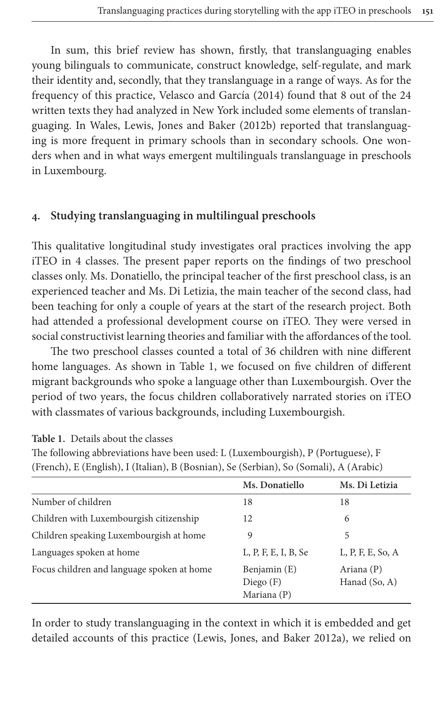In sum, this br[ief review has shown, firs](#page-21-2)tly, that translanguaging enables young bilinguals to communicate, construct knowledge, self-regulate, and mark their identit[y and, secondly, that they translan](#page-20-4)guage in a range of ways. As for the frequency of this practice, Velasco and García (2014) found that 8 out of the 24 written texts they had analyzed in New York included some elements of translanguaging. In Wales, Lewis, Jones and Baker (2012b) reported that translanguaging is more frequent in primary schools than in secondary schools. One wonders when and in what ways emergent multilinguals translanguage in preschools in Luxembourg.

# **4. Studying translanguaging in multilingual preschools**

This qualitative longitudinal study investigates oral practices involving the app iTEO in 4 classes. The present paper reports on the findings of two preschool classes only. Ms. Donatiello, the principal teacher of the first preschool class, is an experienced teacher and Ms. Di Letizia, the main teacher of the second class, had been teaching for only a couple of years at the start of the research project. Both had attended a professi[onal dev](#page-6-0)elopment course on iTEO. They were versed in social constructivist learning theories and familiar with the affordances of the tool.

<span id="page-6-0"></span>The two preschool classes counted a total of 36 children with nine different home languages. As shown in Table 1, we focused on five children of different migrant backgrounds who spoke a language other than Luxembourgish. Over the period of two years, the focus children collaboratively narrated stories on iTEO with classmates of various backgrounds, including Luxembourgish.

|                                            | Ms. Donatiello                             | Ms. Di Letizia              |  |
|--------------------------------------------|--------------------------------------------|-----------------------------|--|
| Number of children                         | 18                                         | 18                          |  |
| Children with Luxembourgish citizenship    | 12                                         | 6                           |  |
| Children speaking Luxembourgish at home    | 9                                          | 5                           |  |
| Languages spoken at home                   | $L, P, F, E, I, B,$ Se                     | $L, P, F, E,$ So, A         |  |
| Focus children and language spoken at home | Benjamin (E)<br>Diego $(F)$<br>Mariana (P) | Ariana (P)<br>Hanad (So, A) |  |

**Table 1.** Details about the classes

The following abbreviations have been used: L (Luxembourgish), P (Portuguese), F (French), E (English), I (Italian), B (Bosnian), Se (Serbian), So (Somali), A (Arabic)

In order to study translanguaging in the context in which it is embedded and get detailed accounts of this practice (Lewis, Jones, and Baker 2012a), we relied on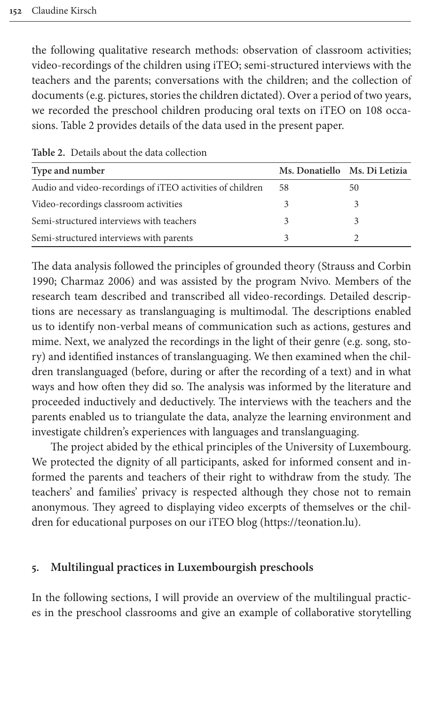the following qualitative research methods: observation of classroom activities; video-recordings of the children using iTEO; semi-structured interviews with the [teacher](#page-7-0)s and the parents; conversations with the children; and the collection of documents (e.g. pictures, stories the children dictated). Over a period of two years, we recorded the preschool children producing oral texts on iTEO on 108 occasions. Table 2 provides details of the data used in the present paper.

| Type and number                                           | Ms. Donatiello Ms. Di Letizia |    |
|-----------------------------------------------------------|-------------------------------|----|
| Audio and video-recordings of iTEO activities of children | 58                            | 50 |
| Video-recordings classroom activities                     |                               |    |
| Semi-structured interviews with teachers                  |                               |    |
| Semi-structured interviews with parents                   |                               |    |

<span id="page-7-0"></span>**Table 2.** Details about the data collection

The data analysis followed the principles of grounded theory (Strauss and Corbin 1990; Charmaz 2006) and was assisted by the program Nvivo. Members of the research team described and transcribed all video-recordings. Detailed descriptions are necessary as translanguaging is multimodal. The descriptions enabled us to identify non-verbal means of communication such as actions, gestures and mime. Next, we analyzed the recordings in the light of their genre (e.g. song, story) and identified instances of translanguaging. We then examined when the children translanguaged (before, during or after the recording of a text) and in what ways and how often they did so. The analysis was informed by the literature and proceeded inductively and deductively. The interviews with the teachers and the parents enabled us to triangulate the data, analyze the learning environment and investigate children's experiences with languages and translanguaging.

The project abided by the ethical principles of the University of Luxembourg. We protected the dignity of all participants, asked for informed consent and informed the parents and teachers of their right to withdraw from the study. The teachers' and families' privacy is respected although they chose not to remain anonymous. They agreed to displaying video excerpts of themselves or the children for educational purposes on our iTEO blog (https://teonation.lu).

#### **5. Multilingual practices in Luxembourgish preschools**

In the following sections, I will provide an overview of the multilingual practices in the preschool classrooms and give an example of collaborative storytelling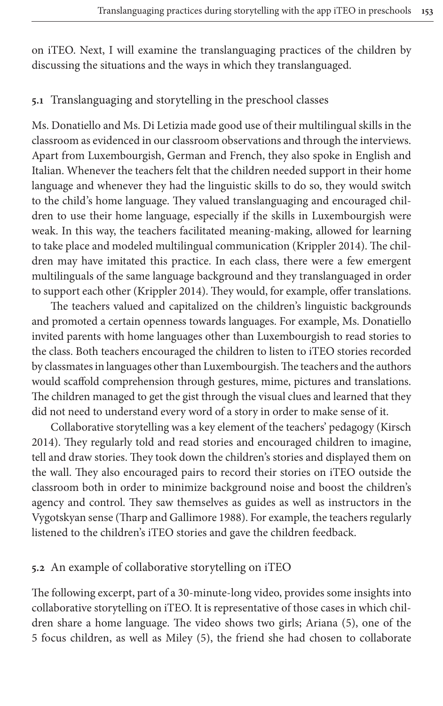on iTEO. Next, I will examine the translanguaging practices of the children by discussing the situations and the ways in which they translanguaged.

#### **5.1** Translanguaging and storytelling in the preschool classes

Ms. Donatiello and Ms. Di Letizia made good use of their multilingual skills in the classroom as evidenced in our classroom observations and through the interviews. Apart from Luxembourgish, German and French, they also spoke in English and Italian. Whenever the teachers felt that the children needed support in their home language and whenever they had the linguistic skills to do so, they would switch to the child's home language. They valued transl[anguaging and](#page-19-13) encouraged children to use their home language, especially if the skills in Luxembourgish were weak. In this way, the teachers facilitated meaning-making, allowed for learning to take place an[d modeled mu](#page-19-13)ltilingual communication (Krippler 2014). The children may have imitated this practice. In each class, there were a few emergent multilinguals of the same language background and they translanguaged in order to support each other (Krippler 2014). They would, for example, offer translations.

The teachers valued and capitalized on the children's linguistic backgrounds and promoted a certain openness towards languages. For example, Ms. Donatiello invited parents with home languages other than Luxembourgish to read stories to the class. Both teachers encouraged the children to listen to iTEO stories recorded by classmates in languages other than Luxembourgish. The teachers and the authors would scaffold comprehension through gestures, mime, pictures an[d transl](#page-19-8)ations. The children managed to get the gist through the visual clues and learned that they did not need to understand every word of a story in order to make sense of it.

Collaborative storytelling was a key element of the teachers' pedagogy (Kirsch 2014). They regularly told and read stories and encouraged children to imagine, tell and draw stories. They took down the children's stories and displayed them on the wall. Th[ey also encouraged pairs t](#page-20-14)o record their stories on iTEO outside the classroom both in order to minimize background noise and boost the children's agency and control. They saw themselves as guides as well as instructors in the Vygotskyan sense (Tharp and Gallimore 1988). For example, the teachers regularly listened to the children's iTEO stories and gave the children feedback.

#### <span id="page-8-0"></span>**5.2** An example of collaborative storytelling on iTEO

The following excerpt, part of a 30-minute-long video, provides some insights into collaborative storytelling on iTEO. It is representative of those cases in which children share a home language. The video shows two girls; Ariana (5), one of the 5 focus children, as well as Miley (5), the friend she had chosen to collaborate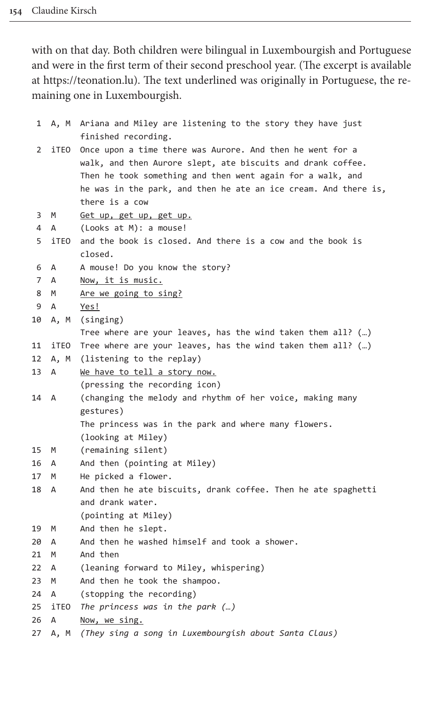with on that day. Both children were bilingual in Luxembourgish and Portuguese and were in the first term of their second preschool year. (The excerpt is available at https://teonation.lu). The text underlined was originally in Portuguese, the remaining one in Luxembourgish.

| 1        |        | A, M Ariana and Miley are listening to the story they have just<br>finished recording.                                                                                                                                                                                      |
|----------|--------|-----------------------------------------------------------------------------------------------------------------------------------------------------------------------------------------------------------------------------------------------------------------------------|
| 2        | iTEO   | Once upon a time there was Aurore. And then he went for a<br>walk, and then Aurore slept, ate biscuits and drank coffee.<br>Then he took something and then went again for a walk, and<br>he was in the park, and then he ate an ice cream. And there is,<br>there is a cow |
| 3        | M      | Get up, get up, get up.                                                                                                                                                                                                                                                     |
| 4        | A      | (Looks at M): a mouse!                                                                                                                                                                                                                                                      |
| 5        | iTEO   | and the book is closed. And there is a cow and the book is<br>closed.                                                                                                                                                                                                       |
| 6        | A      | A mouse! Do you know the story?                                                                                                                                                                                                                                             |
| 7        | A      | <u>Now, it is music.</u>                                                                                                                                                                                                                                                    |
| 8        | M      | <u>Are we going to sing?</u>                                                                                                                                                                                                                                                |
| 9        | A      | Yes!                                                                                                                                                                                                                                                                        |
| 10       | A, M   | (singing)                                                                                                                                                                                                                                                                   |
|          |        | Tree where are your leaves, has the wind taken them all? $(\dots)$                                                                                                                                                                                                          |
| 11       | iTEO   | Tree where are your leaves, has the wind taken them all? ()                                                                                                                                                                                                                 |
| 12       | A, M   | (listening to the replay)                                                                                                                                                                                                                                                   |
| 13       | А      | We have to tell a story now.                                                                                                                                                                                                                                                |
|          |        | (pressing the recording icon)                                                                                                                                                                                                                                               |
| 14       | Α      | (changing the melody and rhythm of her voice, making many                                                                                                                                                                                                                   |
|          |        | gestures)                                                                                                                                                                                                                                                                   |
|          |        | The princess was in the park and where many flowers.                                                                                                                                                                                                                        |
|          |        | (looking at Miley)                                                                                                                                                                                                                                                          |
| 15       | М      | (remaining silent)                                                                                                                                                                                                                                                          |
| 16       | А      | And then (pointing at Miley)                                                                                                                                                                                                                                                |
| 17       | M      | He picked a flower.                                                                                                                                                                                                                                                         |
| 18       | А      | And then he ate biscuits, drank coffee. Then he ate spaghetti                                                                                                                                                                                                               |
|          |        | and drank water.                                                                                                                                                                                                                                                            |
|          |        | (pointing at Miley)                                                                                                                                                                                                                                                         |
| 19       | M      | And then he slept.                                                                                                                                                                                                                                                          |
| 20<br>21 | А<br>M | And then he washed himself and took a shower.<br>And then                                                                                                                                                                                                                   |
| 22       | А      | (leaning forward to Miley, whispering)                                                                                                                                                                                                                                      |
| 23       | M      | And then he took the shampoo.                                                                                                                                                                                                                                               |
| 24       | A      | (stopping the recording)                                                                                                                                                                                                                                                    |
| 25       | iTEO   | The princess was in the park $(\dots)$                                                                                                                                                                                                                                      |
| 26       | А      | Now, we sing.                                                                                                                                                                                                                                                               |
| 27       | A, M   | (They sing a song in Luxembourgish about Santa Claus)                                                                                                                                                                                                                       |
|          |        |                                                                                                                                                                                                                                                                             |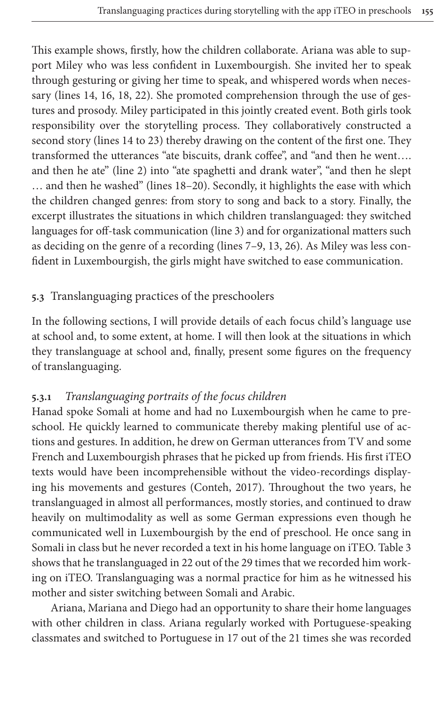This example shows, firstly, how the children collaborate. Ariana was able to support Miley who was less confident in Luxembourgish. She invited her to speak through gesturing or giving her time to speak, and whispered words when necessary (lines 14, 16, 18, 22). She promoted comprehension through the use of gestures and prosody. Miley participated in this jointly created event. Both girls took responsibility over the storytelling process. They collaboratively constructed a second story (lines 14 to 23) thereby drawing on the content of the first one. They transformed the utterances "ate biscuits, drank coffee", and "and then he went…. and then he ate" (line 2) into "ate spaghetti and drank water", "and then he slept … and then he washed" (lines 18–20). Secondly, it highlights the ease with which the children changed genres: from story to song and back to a story. Finally, the excerpt illustrates the situations in which children translanguaged: they switched languages for off-task communication (line 3) and for organizational matters such as deciding on the genre of a recording (lines 7–9, 13, 26). As Miley was less confident in Luxembourgish, the girls might have switched to ease communication.

# **5.3** Translanguaging practices of the preschoolers

In the following sections, I will provide details of each focus child's language use at school and, to some extent, at home. I will then look at the situations in which they translanguage at school and, finally, present some figures on the frequency of translanguaging.

# **5.3.1** *Translanguaging portraits of the focus children*

Hanad spoke Somali at home and had no Luxembourgish when he came to preschool. He quickly learned to communicate thereby making plentiful use of actions and gestures. In additi[on, he drew on](#page-18-11) German utterances from TV and some French and Luxembourgish phrases that he picked up from friends. His first iTEO texts would have been incomprehensible without the video-recordings displaying his movements and gestures (Conteh, 2017). Throughout the two years, he translanguaged in almost all performances, mostly stories, and cont[inued to](#page-12-0) draw heavily on multimodality as well as some German expressions even though he communicated well in Luxembourgish by the end of preschool. He once sang in Somali in class but he never recorded a text in his home language on iTEO. Table 3 shows that he translanguaged in 22 out of the 29 times that we recorded him working on iTEO. Translanguaging was a normal practice for him as he witnessed his mother and sister switching between Somali and Arabic.

Ariana, Mariana and Diego had an opportunity to share their home languages with other children in class. Ariana regularly worked with Portuguese-speaking classmates and switched to Portuguese in 17 out of the 21 times she was recorded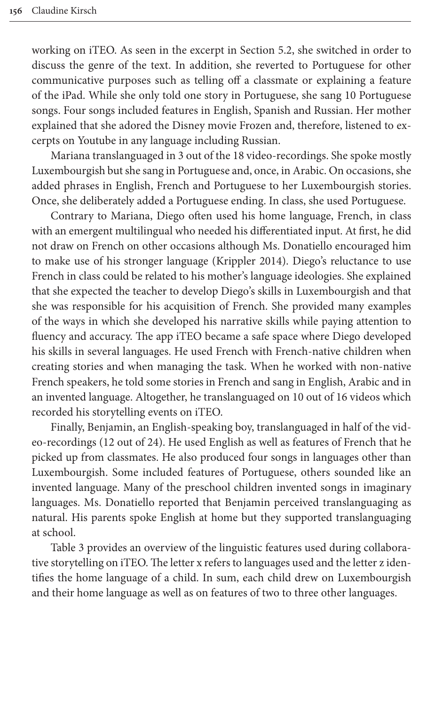working on iTEO. As seen in the excerpt in Section 5.2, she switched in order to discuss the genre of the text. In addition, she reverted to Portuguese for other communicative purposes such as telling off a classmate or explaining a feature of the iPad. While she only told one story in Portuguese, she sang 10 Portuguese songs. Four songs included features in English, Spanish and Russian. Her mother explained that she adored the Disney movie Frozen and, therefore, listened to excerpts on Youtube in any language including Russian.

Mariana translanguaged in 3 out of the 18 video-recordings. She spoke mostly Luxembourgish but she sang in Portuguese and, once, in Arabic. On occasions, she added phrases in English, French and Portuguese to her Luxembourgish stories. Once, she deliberately added a Portuguese ending. In class, she used Portuguese.

Contrary to Mariana, Diego [often used hi](#page-19-13)s home language, French, in class with an emergent multilingual who needed his differentiated input. At first, he did not draw on French on other occasions although Ms. Donatiello encouraged him to make use of his stronger language (Krippler 2014). Diego's reluctance to use French in class could be related to his mother's language ideologies. She explained that she expected the teacher to develop Diego's skills in Luxembourgish and that she was responsible for his acquisition of French. She provided many examples of the ways in which she developed his narrative skills while paying attention to fluency and accuracy. The app iTEO became a safe space where Diego developed his skills in several languages. He used French with French-native children when creating stories and when managing the task. When he worked with non-native French speakers, he told some stories in French and sang in English, Arabic and in an invented language. Altogether, he translanguaged on 10 out of 16 videos which recorded his storytelling events on iTEO.

Finally, Benjamin, an English-speaking boy, translanguaged in half of the video-recordings (12 out of 24). He used English as well as features of French that he picked up from classmates. He also produced four songs in languages other than Luxembourgish. Some included features of Portuguese, others sounded like an invented language. Many of the preschool children invented songs in imaginary [langu](#page-12-0)ages. Ms. Donatiello reported that Benjamin perceived translanguaging as natural. His parents spoke English at home but they supported translanguaging at school.

Table 3 provides an overview of the linguistic features used during collaborative storytelling on iTEO. The letter x refers to languages used and the letter z identifies the home language of a child. In sum, each child drew on Luxembourgish and their home language as well as on features of two to three other languages.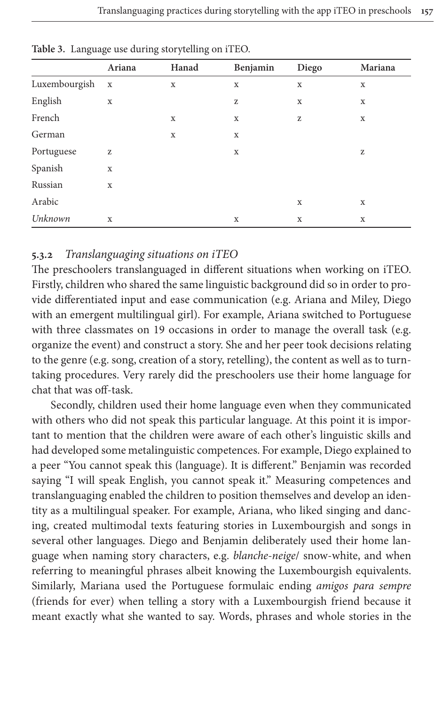|               | Ariana      | Hanad       | Benjamin    | Diego       | Mariana     |
|---------------|-------------|-------------|-------------|-------------|-------------|
| Luxembourgish | $\mathbf X$ | $\mathbf X$ | $\mathbf X$ | $\mathbf X$ | $\mathbf X$ |
| English       | $\mathbf X$ |             | z           | X           | X           |
| French        |             | $\mathbf X$ | $\mathbf X$ | z           | $\mathbf X$ |
| German        |             | $\mathbf X$ | $\mathbf X$ |             |             |
| Portuguese    | Z           |             | $\mathbf X$ |             | z           |
| Spanish       | $\mathbf X$ |             |             |             |             |
| Russian       | X           |             |             |             |             |
| Arabic        |             |             |             | $\mathbf X$ | $\mathbf X$ |
| Unknown       | X           |             | $\mathbf X$ | $\mathbf X$ | $\mathbf X$ |

<span id="page-12-0"></span>**Table 3.** Language use during storytelling on iTEO.

# **5.3.2** *Translanguaging situations on iTEO*

The preschoolers translanguaged in different situations when working on iTEO. Firstly, children who shared the same linguistic background did so in order to provide differentiated input and ease communication (e.g. Ariana and Miley, Diego with an emergent multilingual girl). For example, Ariana switched to Portuguese with three classmates on 19 occasions in order to manage the overall task (e.g. organize the event) and construct a story. She and her peer took decisions relating to the genre (e.g. song, creation of a story, retelling), the content as well as to turntaking procedures. Very rarely did the preschoolers use their home language for chat that was off-task.

Secondly, children used their home language even when they communicated with others who did not speak this particular language. At this point it is important to mention that the children were aware of each other's linguistic skills and had developed some metalinguistic competences. For example, Diego explained to a peer "You cannot speak this (language). It is different." Benjamin was recorded saying "I will speak English, you cannot speak it." Measuring competences and translanguaging enabled the children to position themselves and develop an identity as a multilingual speaker. For example, Ariana, who liked singing and dancing, created multimodal texts featuring stories in Luxembourgish and songs in several other languages. Diego and Benjamin deliberately used their home language when naming story characters, e.g. *blanche-neige*/ snow-white, and when referring to meaningful phrases albeit knowing the Luxembourgish equivalents. Similarly, Mariana used the Portuguese formulaic ending *amigos para sempre* (friends for ever) when telling a story with a Luxembourgish friend because it meant exactly what she wanted to say. Words, phrases and whole stories in the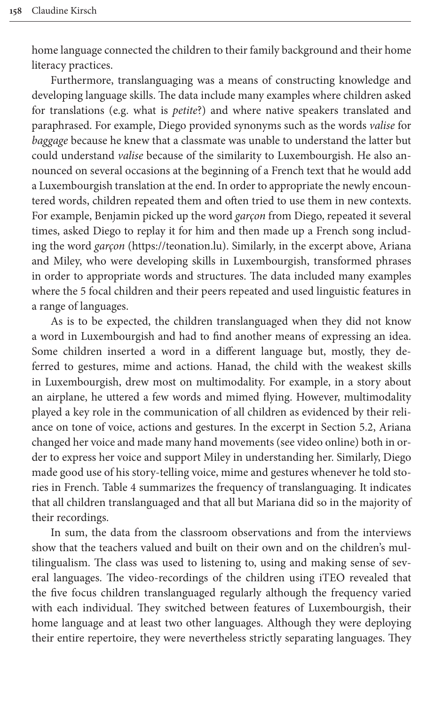home language connected the children to their family background and their home literacy practices.

Furthermore, translanguaging was a means of constructing knowledge and developing language skills. The data include many examples where children asked for translations (e.g. what is *petite*?) and where native speakers translated and paraphrased. For example, Diego provided synonyms such as the words *valise* for *baggage* because he knew that a classmate was unable to understand the latter but could understand *valise* because of the similarity to Luxembourgish. He also announced on several occasions at the beginning of a French text that he would add a Luxembourgish translation at the end. In order to appropriate the newly encountered words, children repeated them and often tried to use them in new contexts. For example, Benjamin picked up the word *garçon* from Diego, repeated it several times, asked Diego to replay it for him and then made up a French song including the word *garçon* (https://teonation.lu). Similarly, in the excerpt above, Ariana and Miley, who were developing skills in Luxembourgish, transformed phrases in order to appropriate words and structures. The data included many examples where the 5 focal children and their peers repeated and used linguistic features in a range of languages.

As is to be expected, the children translanguaged when they did not know a word in Luxembourgish and had to find another means of expressing an idea. Some children inserted a word in a different language but, mostly, they deferred to gestures, mime and actions. Hanad, the child with the weakest skills in Luxembourgish, drew most on multimodality. For [example, in](#page-8-0) a story about an airplane, he uttered a few words and mimed flying. However, multimodality played a key role in the communication of all children as evidenced by their reliance on tone of voice, actions and gestures. In the excerpt in Section 5.2, Ariana changed [her voi](#page-14-0)ce and made many hand movements (see video online) both in order to express her voice and support Miley in understanding her. Similarly, Diego made good use of his story-telling voice, mime and gestures whenever he told stories in French. Table 4 summarizes the frequency of translanguaging. It indicates that all children translanguaged and that all but Mariana did so in the majority of their recordings.

In sum, the data from the classroom observations and from the interviews show that the teachers valued and built on their own and on the children's multilingualism. The class was used to listening to, using and making sense of several languages. The video-recordings of the children using iTEO revealed that the five focus children translanguaged regularly although the frequency varied with each individual. They switched between features of Luxembourgish, their home language and at least two other languages. Although they were deploying their entire repertoire, they were nevertheless strictly separating languages. They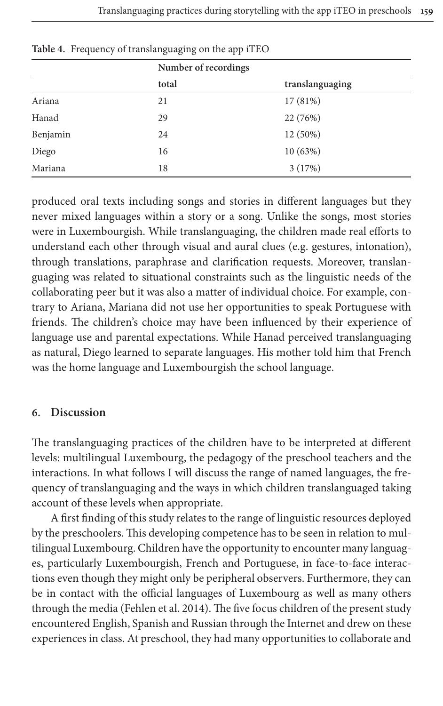|          | Number of recordings |                 |  |  |
|----------|----------------------|-----------------|--|--|
|          | total                | translanguaging |  |  |
| Ariana   | 21                   | 17 (81%)        |  |  |
| Hanad    | 29                   | 22 (76%)        |  |  |
| Benjamin | 24                   | 12 (50%)        |  |  |
| Diego    | 16                   | 10(63%)         |  |  |
| Mariana  | 18                   | 3(17%)          |  |  |
|          |                      |                 |  |  |

<span id="page-14-0"></span>**Table 4.** Frequency of translanguaging on the app iTEO

produced oral texts including songs and stories in different languages but they never mixed languages within a story or a song. Unlike the songs, most stories were in Luxembourgish. While translanguaging, the children made real efforts to understand each other through visual and aural clues (e.g. gestures, intonation), through translations, paraphrase and clarification requests. Moreover, translanguaging was related to situational constraints such as the linguistic needs of the collaborating peer but it was also a matter of individual choice. For example, contrary to Ariana, Mariana did not use her opportunities to speak Portuguese with friends. The children's choice may have been influenced by their experience of language use and parental expectations. While Hanad perceived translanguaging as natural, Diego learned to separate languages. His mother told him that French was the home language and Luxembourgish the school language.

#### **6. Discussion**

The translanguaging practices of the children have to be interpreted at different levels: multilingual Luxembourg, the pedagogy of the preschool teachers and the interactions. In what follows I will discuss the range of named languages, the frequency of translanguaging and the ways in which children translanguaged taking account of these levels when appropriate.

A first finding of this study relates to the range of linguistic resources deployed by the preschoolers. This developing competence has to be seen in relation to multilingual Luxembourg. Children have the opportunity to encounter many languages, particula[rly Luxembourgis](#page-18-12)h, French and Portuguese, in face-to-face interactions even though they might only be peripheral observers. Furthermore, they can be in contact with the official languages of Luxembourg as well as many others through the media (Fehlen et al. 2014). The five focus children of the present study encountered English, Spanish and Russian through the Internet and drew on these experiences in class. At preschool, they had many opportunities to collaborate and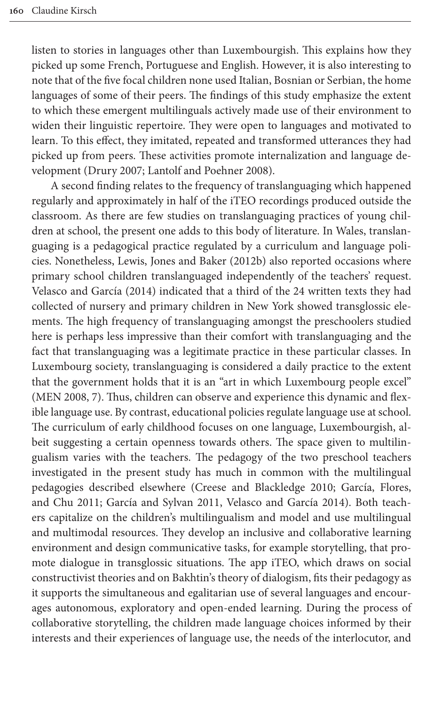listen to stories in languages other than Luxembourgish. This explains how they picked up some French, Portuguese and English. However, it is also interesting to note that of the five focal children none used Italian, Bosnian or Serbian, the home languages of some of their peers. The findings of this study emphasize the extent to which these emergent multilinguals actively made use of their environment to wide[n their lingu](#page-18-13)[istic repertoire. They were](#page-19-6) open to languages and motivated to learn. To this effect, they imitated, repeated and transformed utterances they had picked up from peers. These activities promote internalization and language development (Drury 2007; Lantolf and Poehner 2008).

A second finding relates to the frequency of translanguaging which happened regularly and approximately in half of the iTEO recordings produced outside the classroom. [As there are few studies on tran](#page-20-4)slanguaging practices of young children at school, the present one adds to this body of literature. In Wales, translan[guaging is a pedago](#page-21-2)gical practice regulated by a curriculum and language policies. Nonetheless, Lewis, Jones and Baker (2012b) also reported occasions where primary school children translanguaged independently of the teachers' request. Velasco and García (2014) indicated that a third of the 24 written texts they had collected of nursery and primary children in New York showed transglossic elements. The high frequency of translanguaging amongst the preschoolers studied here is perhaps less impressive than their comfort with translanguaging and the [fact t](#page-20-15)hat translanguaging was a legitimate practice in these particular classes. In Luxembourg society, translanguaging is considered a daily practice to the extent that the government holds that it is an "art in which Luxembourg people excel" (MEN 2008, 7). Thus, children can observe and experience this dynamic and flexible language use. By contrast, educational policies regulate language use at school. The curriculum of early childhood focuses on one language, Luxembourgish, albeit suggesting a certain o[penness towards others. The s](#page-18-1)p[ace given to mu](#page-19-12)ltilin[gualism](#page-19-12) [varies with the teachers](#page-19-2). [The pedagogy of the two](#page-21-2) preschool teachers investigated in the present study has much in common with the multilingual pedagogies described elsewhere (Creese and Blackledge 2010; García, Flores, and Chu 2011; García and Sylvan 2011, Velasco and García 2014). Both teachers capitalize on the children's multilingualism and model and use multilingual and multimodal resources. They develop an inclusive and collaborative learning environment and design communicative tasks, for example storytelling, that promote dialogue in transglossic situations. The app iTEO, which draws on social constructivist theories and on Bakhtin's theory of dialogism, fits their pedagogy as it supports the simultaneous and egalitarian use of several languages and encourages autonomous, exploratory and open-ended learning. During the process of collaborative storytelling, the children made language choices informed by their interests and their experiences of language use, the needs of the interlocutor, and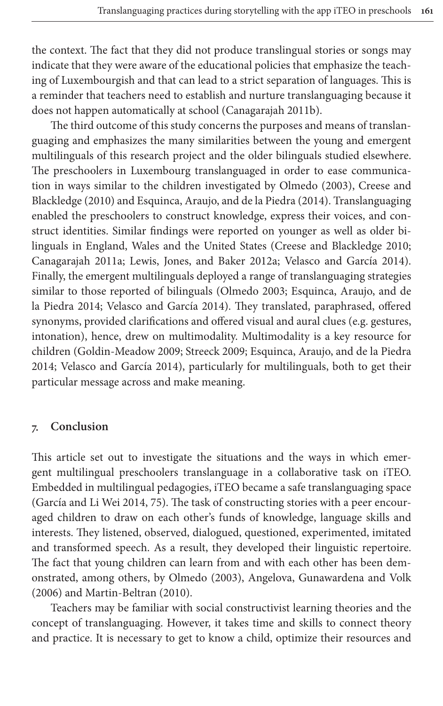the context. The fact that they did not produce translingual stories or songs may indicate that they were aware of th[e educational policie](#page-18-5)s that emphasize the teaching of Luxembourgish and that can lead to a strict separation of languages. This is a reminder that teachers need to establish and nurture translanguaging because it does not happen automatically at school (Canagarajah 2011b).

The third outcome of this study concerns the purposes and means of translanguaging and emphasizes the many similaritie[s between the yo](#page-20-16)[ung and em](#page-18-1)ergent [multilingua](#page-18-1)ls o[f this research project and the older bilin](#page-18-6)guals studied elsewhere. The preschoolers in Luxembourg translanguaged in order to ease communication in ways similar to the children investigated by Olmedo (2003), Creese and Blackledge (2010) and Esquinca, Araujo, and [de la Piedra \(2014\). Translang](#page-18-1)uaging [enabled the p](#page-18-8)[reschoolers to construct knowle](#page-20-3)[dge, express their voices, a](#page-21-2)nd construct identities. Similar findings were reported on younger as well as older bilinguals in England, Wales and [the United Sta](#page-20-16)t[es \(Creese and Blackledge](#page-18-6) 2010; [Canagar](#page-18-6)[ajah 2011a; Lewis, Jones,](#page-21-2) and Baker 2012a; Velasco and García 2014). Finally, the emergent multilinguals deployed a range of translanguaging strategies similar to those reported of bilinguals (Olmedo 2003; Esquinca, Araujo, and de la [Piedra 2014; Velasco a](#page-19-11)[nd García 20](#page-20-12)[14\). They translated, paraphrased, o](#page-18-6)ffered [synonyms, provided clari](#page-21-2)fications and offered visual and aural clues (e.g. gestures, intonation), hence, drew on multimodality. Multimodality is a key resource for children (Goldin-Meadow 2009; Streeck 2009; Esquinca, Araujo, and de la Piedra 2014; Velasco and García 2014), particularly for multilinguals, both to get their particular message across and make meaning.

#### **7. Conclusion**

[This article set o](#page-19-4)ut to investigate the situations and the ways in which emergent multilingual preschoolers translanguage in a collaborative task on iTEO. Embedded in multilingual pedagogies, iTEO became a safe translanguaging space (García and Li Wei 2014, 75). The task of constructing stories with a peer encouraged children to draw on each other's funds of knowledge, language skills and interests. They listene[d, observed, dial](#page-20-16)o[gued, questioned, experimented, im](#page-18-14)itated and [transformed speech. A](#page-20-17)s a result, they developed their linguistic repertoire. The fact that young children can learn from and with each other has been demonstrated, among others, by Olmedo (2003), Angelova, Gunawardena and Volk (2006) and Martin-Beltran (2010).

Teachers may be familiar with social constructivist learning theories and the concept of translanguaging. However, it takes time and skills to connect theory and practice. It is necessary to get to know a child, optimize their resources and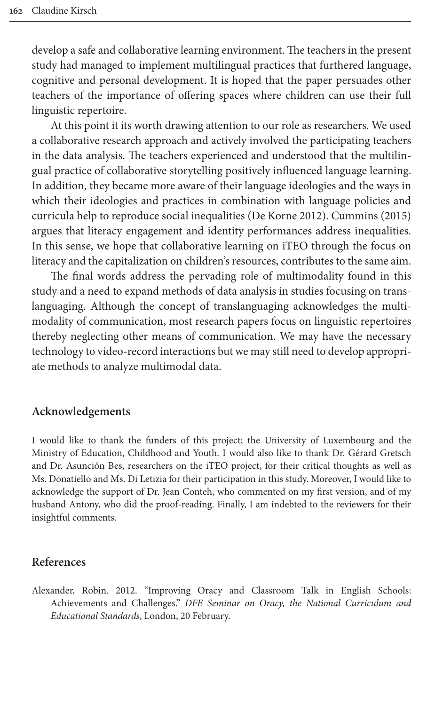develop a safe and collaborative learning environment. The teachers in the present study had managed to implement multilingual practices that furthered language, cognitive and personal development. It is hoped that the paper persuades other teachers of the importance of offering spaces where children can use their full linguistic repertoire.

At this point it its worth drawing attention to our role as researchers. We used a collaborative research approach and actively involved the participating teachers in the data analysis. The teachers experienced and understood that the multilingual practice of collaborative storytellin[g positively influ](#page-18-0)[enced language lea](#page-18-15)rning. In addition, they became more aware of their language ideologies and the ways in which their ideologies and practices in combination with language policies and curricula help to reproduce social inequalities (De Korne 2012). Cummins (2015) argues that literacy engagement and identity performances address inequalities. In this sense, we hope that collaborative learning on iTEO through the focus on literacy and the capitalization on children's resources, contributes to the same aim.

The final words address the pervading role of multimodality found in this study and a need to expand methods of data analysis in studies focusing on translanguaging. Although the concept of translanguaging acknowledges the multimodality of communication, most research papers focus on linguistic repertoires thereby neglecting other means of communication. We may have the necessary technology to video-record interactions but we may still need to develop appropriate methods to analyze multimodal data.

#### **Acknowledgements**

I would like to thank the funders of this project; the University of Luxembourg and the Ministry of Education, Childhood and Youth. I would also like to thank Dr. Gérard Gretsch and Dr. Asunción Bes, researchers on the iTEO project, for their critical thoughts as well as Ms. Donatiello and Ms. Di Letizia for their participation in this study. Moreover, I would like to acknowledge the support of Dr. Jean Conteh, who commented on my first version, and of my husband Antony, who did the proof-reading. Finally, I am indebted to the reviewers for their insightful comments.

#### <span id="page-17-0"></span>**References**

Alexander, Robin. 2012. "Improving Oracy and Classroom Talk in English Schools: Achievements and Challenges." *DFE Seminar on Oracy, the National Curriculum and Educational Standards*, London, 20 February.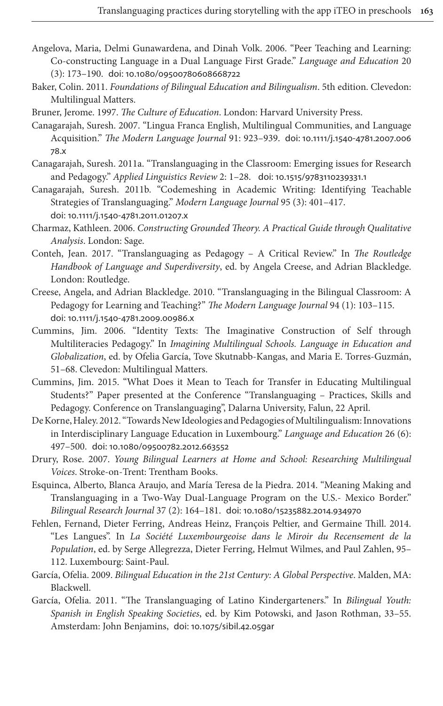- <span id="page-18-14"></span><span id="page-18-3"></span>Angelova, Maria, Delmi Gunawardena, and Dinah Volk. 2006. "Peer Teaching and Learning: Co-constructing Language in a Dual Language First Grade." *Language and Education* 20 (3): 173–190. doi: 10.1080/09500780608668722
- <span id="page-18-9"></span>Baker, Colin. 2011. *Foundations of Bilingual Education and Bilingualism*[. 5th edition. Cle](https://doi.org/10.1111/j.1540-4781.2007.00678.x)vedon: Multilingual Matters.
- [B](https://doi.org/10.1111/j.1540-4781.2007.00678.x)runer, Jerome. 1997. *The Culture of Education*. London: Harvard University Press.
- <span id="page-18-8"></span>Canagarajah, Suresh. 2007. "Lingua Franca English, Multilingual Communities, and Language Acquisition." *The Modern Language Journal* 91: [923–939.](https://doi.org/10.1515/9783110239331.1) doi: 10.1111/j.1540-4781.2007.006 78.x
- <span id="page-18-5"></span>Canagarajah, Suresh. 2011a. "Translanguaging in the Classroom: Emerging issues for Research [and Pedagogy."](https://doi.org/10.1111/j.1540-4781.2011.01207.x) *Applied Linguistics Review* 2: 1–28. doi: 10.1515/9783110239331.1
- <span id="page-18-10"></span>Canagarajah, Suresh. 2011b. "Codemeshing in Academic Writing: Identifying Teachable Strategies of Translanguaging." *Modern Language Journal* 95 (3): 401–417. doi: 10.1111/j.1540-4781.2011.01207.x
- <span id="page-18-11"></span>Charmaz, Kathleen. 2006. *Constructing Grounded Theory. A Practical Guide through Qualitative Analysis*. London: Sage.
- <span id="page-18-1"></span>Conteh, Jean. 2017. "Translanguaging as Pedagogy – A Critical Review." In *The Routledge Handbook of Language and Superdiversity*, ed. by Angela Creese, and Adrian Blackledge. [London: Routledge.](https://doi.org/10.1111/j.1540-4781.2009.00986.x)
- <span id="page-18-4"></span>Creese, Angela, and Adrian Blackledge. 2010. "Translanguaging in the Bilingual Classroom: A Pedagogy for Learning and Teaching?" *The Modern Language Journal* 94 (1): 103–115. doi: 10.1111/j.1540-4781.2009.00986.x
- <span id="page-18-15"></span>Cummins, Jim. 2006. "Identity Texts: The Imaginative Construction of Self through Multiliteracies Pedagogy." In *Imagining Multilingual Schools. Language in Education and Globalization*, ed. by Ofelia García, Tove Skutnabb-Kangas, and Maria E. Torres-Guzmán, 51–68. Clevedon: Multilingual Matters.
- <span id="page-18-0"></span>Cummins, Jim. 2015. "What Does it Mean to Teach for Transfer in Educating Multilingual Students?" Paper presented at the Conference "Translanguaging – Practices, Skills and Pedag[ogy. Conference on Translangu](https://doi.org/10.1080/09500782.2012.663552)aging", Dalarna University, Falun, 22 April.
- <span id="page-18-13"></span>De Korne, Haley. 2012. "Towards New Ideologies and Pedagogies of Multilingualism: Innovations in Interdisciplinary Language Education in Luxembourg." *Language and Education* 26 (6): 497–500. doi: 10.1080/09500782.2012.663552
- <span id="page-18-6"></span>Drury, Rose. 2007. *Young Bilingual Learne[rs at Home and School: Resea](https://doi.org/10.1080/15235882.2014.934970)rching Multilingual Voices*. Stroke-on-Trent: Trentham Books.
- <span id="page-18-12"></span>Esquinca, Alberto, Blanca Araujo, and María Teresa de la Piedra. 2014. "Meaning Making and Translanguaging in a Two-Way Dual-Language Program on the U.S.- Mexico Border." *Bilingual Research Journal* 37 (2): 164–181. doi: 10.1080/15235882.2014.934970
- <span id="page-18-2"></span>Fehlen, Fernand, Dieter Ferring, Andreas Heinz, François Peltier, and Germaine Thill. 2014. "Les Langues". In *La Société Luxembourgeoise dans le Miroir du Recensement de la Population*, ed. by Serge Allegrezza, Dieter Ferring, Helmut Wilmes, and Paul Zahlen, 95– 112. Luxembourg: Saint-Paul.
- <span id="page-18-7"></span>García, Ofelia. 2009. *Bilingual E[ducation in the 21st C](https://doi.org/10.1075/sibil.42.05gar)entury: A Global Perspective*. Malden, MA: Blackwell.
- García, Ofelia. 2011. "The Translanguaging of Latino Kindergarteners." In *Bilingual Youth: Spanish in English Speaking Societies*, ed. by Kim Potowski, and Jason Rothman, 33–55. Amsterdam: John Benjamins, doi: 10.1075/sibil.42.05gar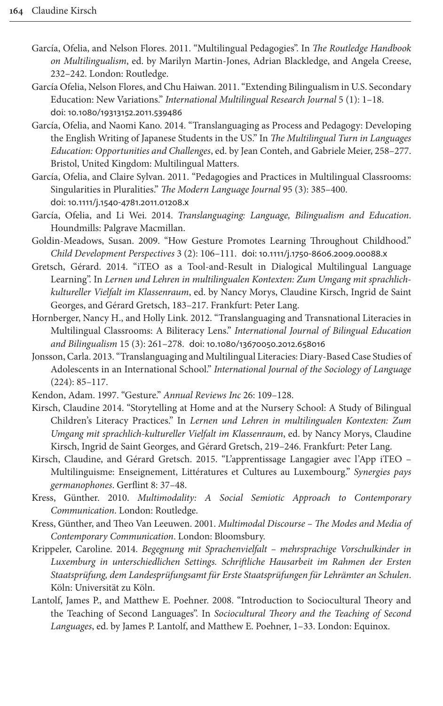- <span id="page-19-12"></span><span id="page-19-1"></span>García, Ofelia, and Nelson Flores. 2011. "Multilingual Pedagogies". In *The Routledge Handbook on Multilingualism*, ed. by Marilyn Martin-Jones, Adrian Blackledge, and Angela Creese, [232–242. London: Routle](https://doi.org/10.1080/19313152.2011.539486)dge.
- <span id="page-19-9"></span>García Ofelia, Nelson Flores, and Chu Haiwan. 2011. "Extending Bilingualism in U.S. Secondary Education: New Variations." *International Multilingual Research Journal* 5 (1): 1–18. doi: 10.1080/19313152.2011.539486
- <span id="page-19-2"></span>García, Ofelia, and Naomi Kano. 2014. "Translanguaging as Process and Pedagogy: Developing the English Writing of Japanese Students in the US." In *The Multilingual Turn in Languages Education: Opportunities and Challenges*, ed. by Jean Conteh, and Gabriele Meier, 258–277. [Bristol, United Kingdom: M](https://doi.org/10.1111/j.1540-4781.2011.01208.x)ultilingual Matters.
- <span id="page-19-4"></span>García, Ofelia, and Claire Sylvan. 2011. "Pedagogies and Practices in Multilingual Classrooms: Singularities in Pluralities." *The Modern Language Journal* 95 (3): 385–400. doi: 10.1111/j.1540-4781.2011.01208.x
- <span id="page-19-11"></span><span id="page-19-7"></span>García, Ofelia, and Li Wei. 2014. *Translangua[ging: Language, Bilingualism an](https://doi.org/10.1111/j.1750-8606.2009.00088.x)d Education*. Houndmills: Palgrave Macmillan.
- Goldin-Meadows, Susan. 2009. "How Gesture Promotes Learning Throughout Childhood." *Child Development Perspectives* 3 (2): 106–111. doi: 10.1111/j.1750-8606.2009.00088.x
- <span id="page-19-0"></span>Gretsch, Gérard. 2014. "iTEO as a Tool-and-Result in Dialogical Multilingual Language Learning". In *Lernen und Lehren in multilingualen Kontexten: Zum Umgang mit sprachlichkultureller Vielfalt im Klassenraum*, ed. by Nancy Morys, Claudine Kirsch, Ingrid de Saint Georges, and Gérard Gretsch, [183–217. Frankfurt: Peter Lang](https://doi.org/10.1080/13670050.2012.658016).
- <span id="page-19-3"></span>Hornberger, Nancy H., and Holly Link. 2012. "Translanguaging and Transnational Literacies in Multilingual Classrooms: A Biliteracy Lens." *International Journal of Bilingual Education and Bilingualism* 15 (3): 261–278. doi: 10.1080/13670050.2012.658016
- <span id="page-19-10"></span><span id="page-19-8"></span>Jonsson, Carla. 2013. "Translanguaging and Multilingual Literacies: Diary-Based Case Studies of Adolescents in an International School." *International Journal of the Sociology of Language* (224): 85–117.
- Kendon, Adam. 1997. "Gesture." *Annual Reviews Inc* 26: 109–128.
- <span id="page-19-5"></span>Kirsch, Claudine 2014. "Storytelling at Home and at the Nursery School: A Study of Bilingual Children's Literacy Practices." In *Lernen und Lehren in multilingualen Kontexten: Zum Umgang mit sprachlich-kultureller Vielfalt im Klassenraum*, ed. by Nancy Morys, Claudine Kirsch, Ingrid de Saint Georges, and Gérard Gretsch, 219–246. Frankfurt: Peter Lang.
- Kirsch, Claudine, and Gérard Gretsch. 2015. "L'apprentissage Langagier avec l'App iTEO Multilinguisme: Enseignement, Littératures et Cultures au Luxembourg." *Synergies pays germanophones*. Gerflint 8: 37–48.
- <span id="page-19-13"></span>Kress, Günther. 2010. *Multimodality: A Social Semiotic Approach to Contemporary Communication*. London: Routledge.
- Kress, Günther, and Theo Van Leeuwen. 2001. *Multimodal Discourse The Modes and Media of Contemporary Communication*. London: Bloomsbury.
- <span id="page-19-6"></span>Krippeler, Caroline. 2014. *Begegnung mit Sprachenvielfalt – mehrsprachige Vorschulkinder in Luxemburg in unterschiedlichen Settings. Schriftliche Hausarbeit im Rahmen der Ersten Staatsprüfung, dem Landesprüfungsamt für Erste Staatsprüfungen für Lehrämter an Schulen*. Köln: Universität zu Köln.
- Lantolf, James P., and Matthew E. Poehner. 2008. "Introduction to Sociocultural Theory and the Teaching of Second Languages". In *Sociocultural Theory and the Teaching of Second Languages*, ed. by James P. Lantolf, and Matthew E. Poehner, 1–33. London: Equinox.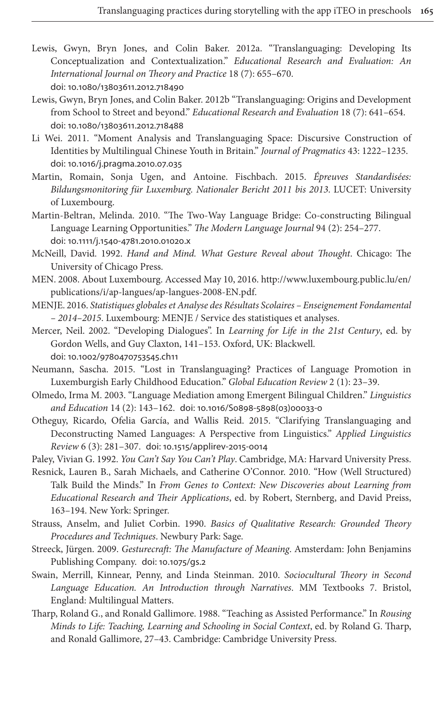- <span id="page-20-4"></span><span id="page-20-3"></span>[Lewis, Gwyn, Bryn Jones,](https://doi.org/10.1080/13803611.2012.718490) and Colin Baker. 2012a. "Translanguaging: Developing Its Conceptualization and Contextualization." *Educational Research and Evaluation: An International Journal on Theory and Practice* 18 (7): 655–670. doi: [10.1080/13803611.2012](https://doi.org/10.1080/13803611.2012.718488).718490
- <span id="page-20-9"></span>Lewis, Gwyn, Bryn Jones, and Colin Baker. 2012b "Translanguaging: Origins and Development from School to Street and beyond." *Educational Research and Evaluation* 18 (7): 641–654. doi: [10.1080/13803611.2012](https://doi.org/10.1016/j.pragma.2010.07.035).718488
- <span id="page-20-1"></span>Li Wei. 2011. "Moment Analysis and Translanguaging Space: Discursive Construction of Identities by Multilingual Chinese Youth in Britain." *Journal of Pragmatics* 43: 1222–1235. doi: 10.1016/j.pragma.2010.07.035
- <span id="page-20-17"></span>Martin, Romain, Sonja Ugen, and Antoine. Fischbach. 2015. *Épreuves Standardisées: Bildungsmonitoring für Luxemburg. Nationaler Bericht 2011 bis 2013*. LUCET: University [of Luxembourg.](https://doi.org/10.1111/j.1540-4781.2010.01020.x)
- <span id="page-20-11"></span>Martin-Beltran, Melinda. 2010. "The Two-Way Language Bridge: Co-constructing Bilingual Language Learning Opportunities." *The Mod[ern Language Journal](http://www.luxembourg.public.lu/en/publications/i/ap-langues/ap-langues-2008-EN.pdf)* 94 (2): 254–277. doi: 10.1111/j.1540-4781.2010.01020.x
- <span id="page-20-15"></span><span id="page-20-0"></span>McNeill, David. 1992. *[Hand and Mind. What](http://www.luxembourg.public.lu/en/publications/i/ap-langues/ap-langues-2008-EN.pdf) Gesture Reveal about Thought*. Chicago: The University of Chicago Press.
- <span id="page-20-5"></span>MEN. 2008. About Luxembourg. Accessed May 10, 2016. http://www.luxembourg.public.lu/en/ publications/i/ap-langues/ap-langues-2008-EN.pdf.
- MENJE. 2016. *Statistiques globales et Analyse des Résultats Scolaires Enseignement Fondamental [– 2014–2015](https://doi.org/10.1002/9780470753545.ch11)*. Luxembourg: MENJE / Service des statistiques et analyses.
- <span id="page-20-2"></span>Mercer, Neil. 2002. "Developing Dialogues". In *Learning for Life in the 21st Century*, ed. by Gordon Wells, and Guy Claxton, 141–153. Oxford, UK: Blackwell. doi: 10.1002/9780470753545.ch11
- <span id="page-20-16"></span><span id="page-20-10"></span>Neumann, Sascha. 2015. "Lost [in Translanguaging? Practices](https://doi.org/10.1016/S0898-5898(03)00033-0) of Language Promotion in Luxemburgish Early Childhood Education." *Global Education Review* 2 (1): 23–39.
- Olmedo, Irma M. 2003. "Language Mediation among Emergent Bilingual Children." *Linguistics and Education* 14 (2[\): 143–162.](https://doi.org/10.1515/applirev-2015-0014) doi: 10.1016/S0898-5898(03)00033-0
- <span id="page-20-8"></span><span id="page-20-6"></span>Otheguy, Ricardo, Ofelia García, and Wallis Reid. 2015. "Clarifying Translanguaging and Deconstructing Named Languages: A Perspective from Linguistics." *Applied Linguistics Review* 6 (3): 281–307. doi: 10.1515/applirev-2015-0014
- Paley, Vivian G. 1992. *You Can't Say You Can't Play*. Cambridge, MA: Harvard University Press.
- <span id="page-20-13"></span>Resnick, Lauren B., Sarah Michaels, and Catherine O'Connor. 2010. "How (Well Structured) Talk Build the Minds." In *From Genes to Context: New Discoveries about Learning from Educational Research and Their Applications*, ed. by Robert, Sternberg, and David Preiss, 163–194. New York: Springer.
- <span id="page-20-12"></span><span id="page-20-7"></span>Strauss, Anselm, and J[uliet Corbin](https://doi.org/10.1075/gs.2). 1990. *Basics of Qualitative Research: Grounded Theory Procedures and Techniques*. Newbury Park: Sage.
- Streeck, Jürgen. 2009. *Gesturecraft: The Manufacture of Meaning*. Amsterdam: John Benjamins Publishing Company. doi: 10.1075/gs.2
- <span id="page-20-14"></span>Swain, Merrill, Kinnear, Penny, and Linda Steinman. 2010. *Sociocultural Theory in Second Language Education. An Introduction through Narratives*. MM Textbooks 7. Bristol, England: Multilingual Matters.
- Tharp, Roland G., and Ronald Gallimore. 1988. "Teaching as Assisted Performance." In *Rousing Minds to Life: Teaching, Learning and Schooling in Social Context*, ed. by Roland G. Tharp, and Ronald Gallimore, 27–43. Cambridge: Cambridge University Press.